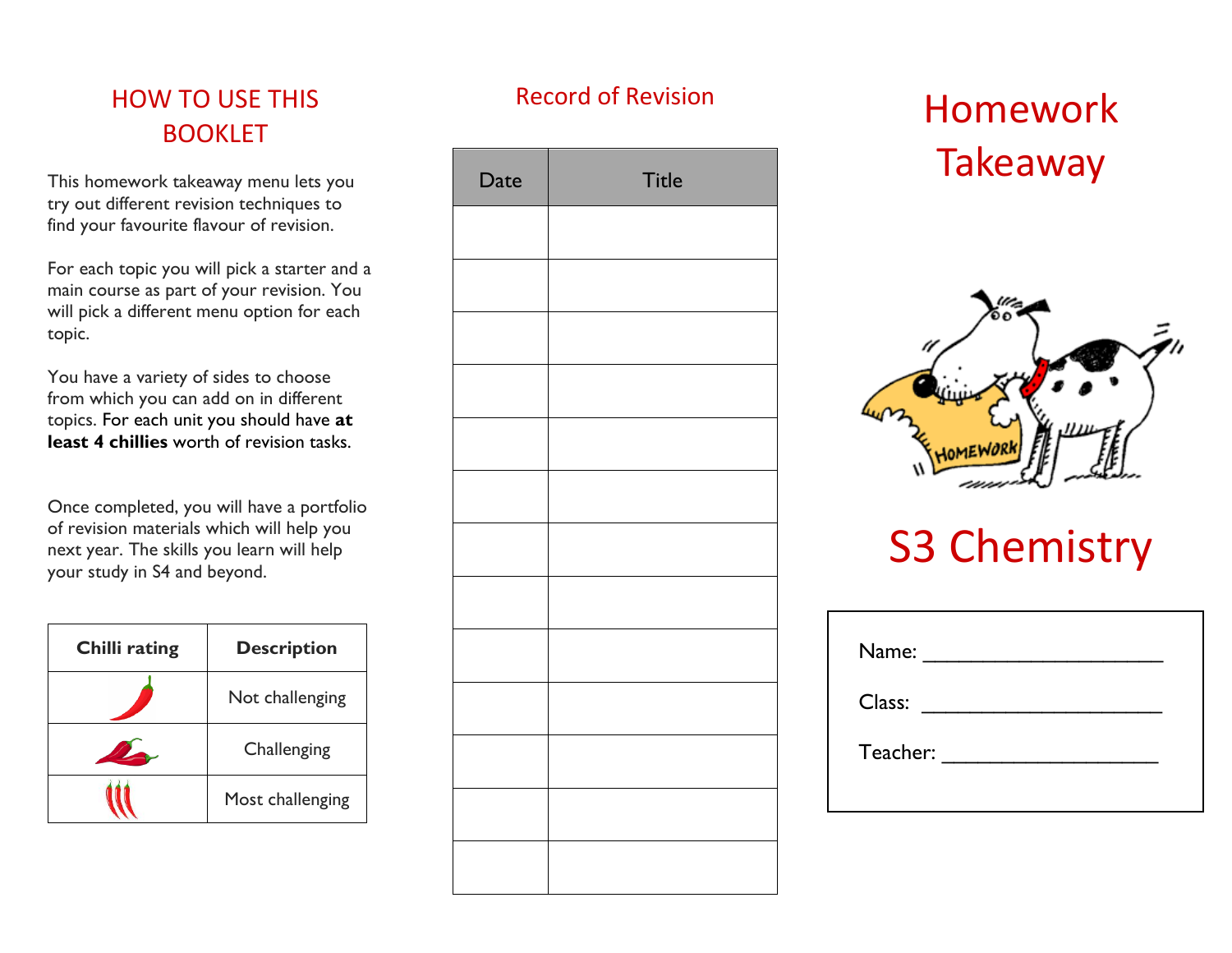# HOW TO USE THIS BOOKLET

This homework takeaway menu lets you try out different revision techniques to find your favourite flavour of revision.

For each topic you will pick a starter and a main course as part of your revision. You will pick a different menu option for each topic.

You have a variety of sides to choose from which you can add on in different topics. For each unit you should have **at least 4 chillies** worth of revision tasks.

Once completed, you will have a portfolio of revision materials which will help you next year. The skills you learn will help your study in S4 and beyond.

| <b>Chilli rating</b> | <b>Description</b> |
|----------------------|--------------------|
|                      | Not challenging    |
|                      | Challenging        |
|                      | Most challenging   |

# Record of Revision

| Date | <b>Title</b> |
|------|--------------|
|      |              |
|      |              |
|      |              |
|      |              |
|      |              |
|      |              |
|      |              |
|      |              |
|      |              |
|      |              |
|      |              |
|      |              |
|      |              |

# Homework **Takeaway**



# S3 Chemistry

| Name:    |  |
|----------|--|
| Class:   |  |
| Teacher: |  |
|          |  |